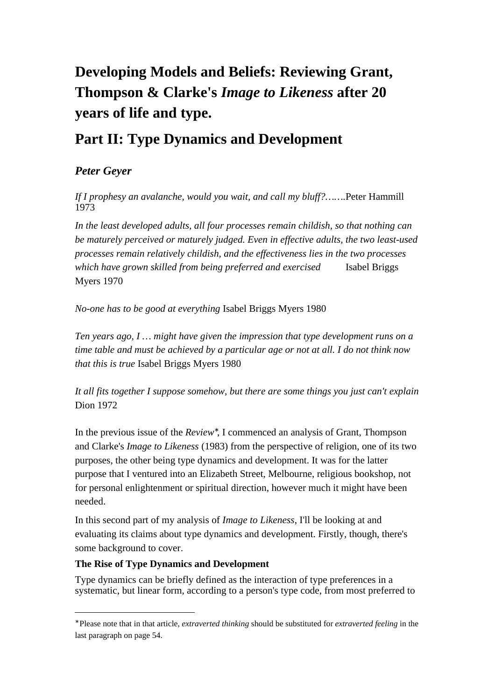# **Developing Models and Beliefs: Reviewing Grant, Thompson & Clarke's** *Image to Likeness* **after 20 years of life and type.**

## **Part II: Type Dynamics and Development**

## *Peter Geyer*

*If I prophesy an avalanche, would you wait, and call my bluff?…….*Peter Hammill 1973

*In the least developed adults, all four processes remain childish, so that nothing can be maturely perceived or maturely judged. Even in effective adults, the two least-used processes remain relatively childish, and the effectiveness lies in the two processes which have grown skilled from being preferred and exercised* Isabel Briggs Myers 1970

*No-one has to be good at everything* Isabel Briggs Myers 1980

*Ten years ago, I … might have given the impression that type development runs on a time table and must be achieved by a particular age or not at all. I do not think now that this is true* Isabel Briggs Myers 1980

*It all fits together I suppose somehow, but there are some things you just can't explain* Dion 1972

In the previous issue of the *Review*<sup>∗</sup> , I commenced an analysis of Grant, Thompson and Clarke's *Image to Likeness* (1983) from the perspective of religion, one of its two purposes, the other being type dynamics and development. It was for the latter purpose that I ventured into an Elizabeth Street, Melbourne, religious bookshop, not for personal enlightenment or spiritual direction, however much it might have been needed.

In this second part of my analysis of *Image to Likeness*, I'll be looking at and evaluating its claims about type dynamics and development. Firstly, though, there's some background to cover.

### **The Rise of Type Dynamics and Development**

 $\overline{a}$ 

Type dynamics can be briefly defined as the interaction of type preferences in a systematic, but linear form, according to a person's type code, from most preferred to

<sup>∗</sup> Please note that in that article, *extraverted thinking* should be substituted for *extraverted feeling* in the last paragraph on page 54.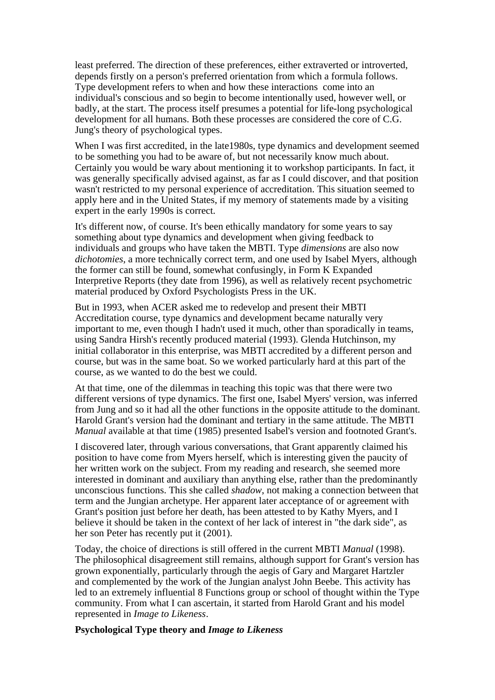least preferred. The direction of these preferences, either extraverted or introverted, depends firstly on a person's preferred orientation from which a formula follows. Type development refers to when and how these interactions come into an individual's conscious and so begin to become intentionally used, however well, or badly, at the start. The process itself presumes a potential for life-long psychological development for all humans. Both these processes are considered the core of C.G. Jung's theory of psychological types.

When I was first accredited, in the late1980s, type dynamics and development seemed to be something you had to be aware of, but not necessarily know much about. Certainly you would be wary about mentioning it to workshop participants. In fact, it was generally specifically advised against, as far as I could discover, and that position wasn't restricted to my personal experience of accreditation. This situation seemed to apply here and in the United States, if my memory of statements made by a visiting expert in the early 1990s is correct.

It's different now, of course. It's been ethically mandatory for some years to say something about type dynamics and development when giving feedback to individuals and groups who have taken the MBTI. Type *dimensions* are also now *dichotomies*, a more technically correct term, and one used by Isabel Myers, although the former can still be found, somewhat confusingly, in Form K Expanded Interpretive Reports (they date from 1996), as well as relatively recent psychometric material produced by Oxford Psychologists Press in the UK.

But in 1993, when ACER asked me to redevelop and present their MBTI Accreditation course, type dynamics and development became naturally very important to me, even though I hadn't used it much, other than sporadically in teams, using Sandra Hirsh's recently produced material (1993). Glenda Hutchinson, my initial collaborator in this enterprise, was MBTI accredited by a different person and course, but was in the same boat. So we worked particularly hard at this part of the course, as we wanted to do the best we could.

At that time, one of the dilemmas in teaching this topic was that there were two different versions of type dynamics. The first one, Isabel Myers' version, was inferred from Jung and so it had all the other functions in the opposite attitude to the dominant. Harold Grant's version had the dominant and tertiary in the same attitude. The MBTI *Manual* available at that time (1985) presented Isabel's version and footnoted Grant's.

I discovered later, through various conversations, that Grant apparently claimed his position to have come from Myers herself, which is interesting given the paucity of her written work on the subject. From my reading and research, she seemed more interested in dominant and auxiliary than anything else, rather than the predominantly unconscious functions. This she called *shadow*, not making a connection between that term and the Jungian archetype. Her apparent later acceptance of or agreement with Grant's position just before her death, has been attested to by Kathy Myers, and I believe it should be taken in the context of her lack of interest in "the dark side", as her son Peter has recently put it (2001).

Today, the choice of directions is still offered in the current MBTI *Manual* (1998). The philosophical disagreement still remains, although support for Grant's version has grown exponentially, particularly through the aegis of Gary and Margaret Hartzler and complemented by the work of the Jungian analyst John Beebe. This activity has led to an extremely influential 8 Functions group or school of thought within the Type community. From what I can ascertain, it started from Harold Grant and his model represented in *Image to Likeness*.

#### **Psychological Type theory and** *Image to Likeness*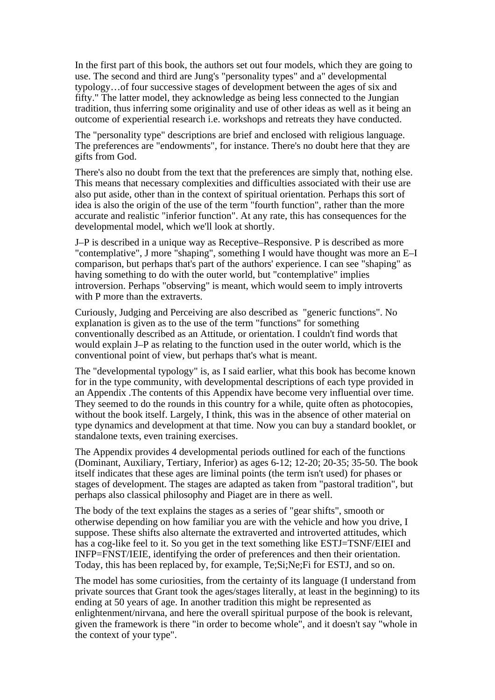In the first part of this book, the authors set out four models, which they are going to use. The second and third are Jung's "personality types" and a" developmental typology…of four successive stages of development between the ages of six and fifty." The latter model, they acknowledge as being less connected to the Jungian tradition, thus inferring some originality and use of other ideas as well as it being an outcome of experiential research i.e. workshops and retreats they have conducted.

The "personality type" descriptions are brief and enclosed with religious language. The preferences are "endowments", for instance. There's no doubt here that they are gifts from God.

There's also no doubt from the text that the preferences are simply that, nothing else. This means that necessary complexities and difficulties associated with their use are also put aside, other than in the context of spiritual orientation. Perhaps this sort of idea is also the origin of the use of the term "fourth function", rather than the more accurate and realistic "inferior function". At any rate, this has consequences for the developmental model, which we'll look at shortly.

J–P is described in a unique way as Receptive–Responsive. P is described as more "contemplative", J more "shaping", something I would have thought was more an E–I comparison, but perhaps that's part of the authors' experience. I can see "shaping" as having something to do with the outer world, but "contemplative" implies introversion. Perhaps "observing" is meant, which would seem to imply introverts with P more than the extraverts.

Curiously, Judging and Perceiving are also described as "generic functions". No explanation is given as to the use of the term "functions" for something conventionally described as an Attitude, or orientation. I couldn't find words that would explain J–P as relating to the function used in the outer world, which is the conventional point of view, but perhaps that's what is meant.

The "developmental typology" is, as I said earlier, what this book has become known for in the type community, with developmental descriptions of each type provided in an Appendix .The contents of this Appendix have become very influential over time. They seemed to do the rounds in this country for a while, quite often as photocopies, without the book itself. Largely, I think, this was in the absence of other material on type dynamics and development at that time. Now you can buy a standard booklet, or standalone texts, even training exercises.

The Appendix provides 4 developmental periods outlined for each of the functions (Dominant, Auxiliary, Tertiary, Inferior) as ages 6-12; 12-20; 20-35; 35-50. The book itself indicates that these ages are liminal points (the term isn't used) for phases or stages of development. The stages are adapted as taken from "pastoral tradition", but perhaps also classical philosophy and Piaget are in there as well.

The body of the text explains the stages as a series of "gear shifts", smooth or otherwise depending on how familiar you are with the vehicle and how you drive, I suppose. These shifts also alternate the extraverted and introverted attitudes, which has a cog-like feel to it. So you get in the text something like ESTJ=TSNF/EIEI and INFP=FNST/IEIE, identifying the order of preferences and then their orientation. Today, this has been replaced by, for example, Te;Si;Ne;Fi for ESTJ, and so on.

The model has some curiosities, from the certainty of its language (I understand from private sources that Grant took the ages/stages literally, at least in the beginning) to its ending at 50 years of age. In another tradition this might be represented as enlightenment/nirvana, and here the overall spiritual purpose of the book is relevant, given the framework is there "in order to become whole", and it doesn't say "whole in the context of your type".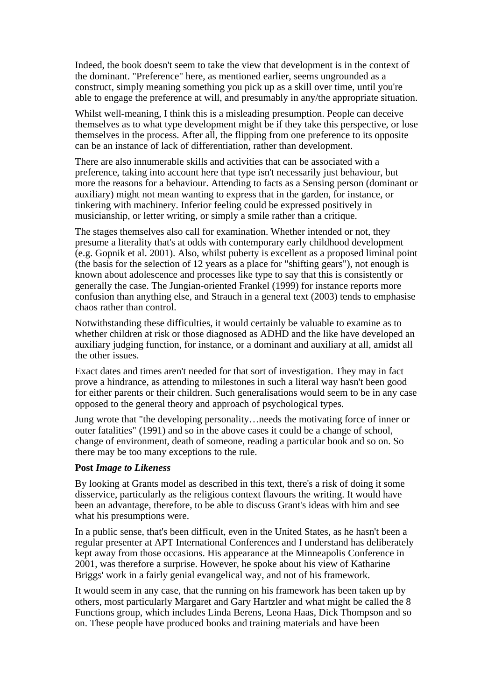Indeed, the book doesn't seem to take the view that development is in the context of the dominant. "Preference" here, as mentioned earlier, seems ungrounded as a construct, simply meaning something you pick up as a skill over time, until you're able to engage the preference at will, and presumably in any/the appropriate situation.

Whilst well-meaning, I think this is a misleading presumption. People can deceive themselves as to what type development might be if they take this perspective, or lose themselves in the process. After all, the flipping from one preference to its opposite can be an instance of lack of differentiation, rather than development.

There are also innumerable skills and activities that can be associated with a preference, taking into account here that type isn't necessarily just behaviour, but more the reasons for a behaviour. Attending to facts as a Sensing person (dominant or auxiliary) might not mean wanting to express that in the garden, for instance, or tinkering with machinery. Inferior feeling could be expressed positively in musicianship, or letter writing, or simply a smile rather than a critique.

The stages themselves also call for examination. Whether intended or not, they presume a literality that's at odds with contemporary early childhood development (e.g. Gopnik et al. 2001). Also, whilst puberty is excellent as a proposed liminal point (the basis for the selection of 12 years as a place for "shifting gears"), not enough is known about adolescence and processes like type to say that this is consistently or generally the case. The Jungian-oriented Frankel (1999) for instance reports more confusion than anything else, and Strauch in a general text (2003) tends to emphasise chaos rather than control.

Notwithstanding these difficulties, it would certainly be valuable to examine as to whether children at risk or those diagnosed as ADHD and the like have developed an auxiliary judging function, for instance, or a dominant and auxiliary at all, amidst all the other issues.

Exact dates and times aren't needed for that sort of investigation. They may in fact prove a hindrance, as attending to milestones in such a literal way hasn't been good for either parents or their children. Such generalisations would seem to be in any case opposed to the general theory and approach of psychological types.

Jung wrote that "the developing personality…needs the motivating force of inner or outer fatalities" (1991) and so in the above cases it could be a change of school, change of environment, death of someone, reading a particular book and so on. So there may be too many exceptions to the rule.

#### **Post** *Image to Likeness*

By looking at Grants model as described in this text, there's a risk of doing it some disservice, particularly as the religious context flavours the writing. It would have been an advantage, therefore, to be able to discuss Grant's ideas with him and see what his presumptions were.

In a public sense, that's been difficult, even in the United States, as he hasn't been a regular presenter at APT International Conferences and I understand has deliberately kept away from those occasions. His appearance at the Minneapolis Conference in 2001, was therefore a surprise. However, he spoke about his view of Katharine Briggs' work in a fairly genial evangelical way, and not of his framework.

It would seem in any case, that the running on his framework has been taken up by others, most particularly Margaret and Gary Hartzler and what might be called the 8 Functions group, which includes Linda Berens, Leona Haas, Dick Thompson and so on. These people have produced books and training materials and have been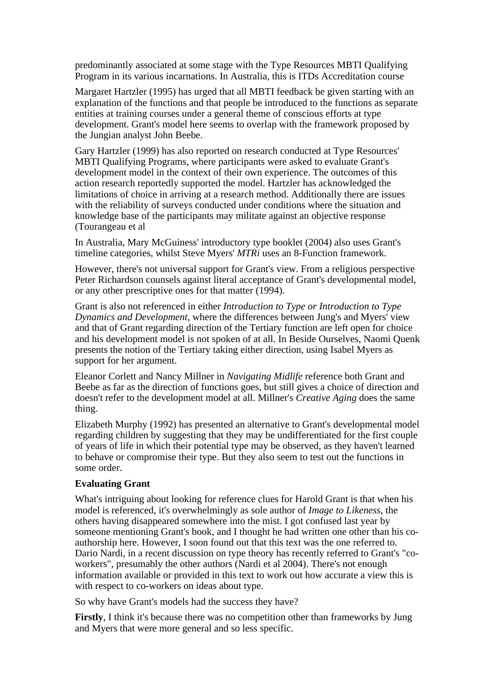predominantly associated at some stage with the Type Resources MBTI Qualifying Program in its various incarnations. In Australia, this is ITDs Accreditation course

Margaret Hartzler (1995) has urged that all MBTI feedback be given starting with an explanation of the functions and that people be introduced to the functions as separate entities at training courses under a general theme of conscious efforts at type development. Grant's model here seems to overlap with the framework proposed by the Jungian analyst John Beebe.

Gary Hartzler (1999) has also reported on research conducted at Type Resources' MBTI Qualifying Programs, where participants were asked to evaluate Grant's development model in the context of their own experience. The outcomes of this action research reportedly supported the model. Hartzler has acknowledged the limitations of choice in arriving at a research method. Additionally there are issues with the reliability of surveys conducted under conditions where the situation and knowledge base of the participants may militate against an objective response (Tourangeau et al

In Australia, Mary McGuiness' introductory type booklet (2004) also uses Grant's timeline categories, whilst Steve Myers' *MTRi* uses an 8-Function framework.

However, there's not universal support for Grant's view. From a religious perspective Peter Richardson counsels against literal acceptance of Grant's developmental model, or any other prescriptive ones for that matter (1994).

Grant is also not referenced in either *Introduction to Type or Introduction to Type Dynamics and Development*, where the differences between Jung's and Myers' view and that of Grant regarding direction of the Tertiary function are left open for choice and his development model is not spoken of at all. In Beside Ourselves, Naomi Quenk presents the notion of the Tertiary taking either direction, using Isabel Myers as support for her argument.

Eleanor Corlett and Nancy Millner in *Navigating Midlife* reference both Grant and Beebe as far as the direction of functions goes, but still gives a choice of direction and doesn't refer to the development model at all. Millner's *Creative Aging* does the same thing.

Elizabeth Murphy (1992) has presented an alternative to Grant's developmental model regarding children by suggesting that they may be undifferentiated for the first couple of years of life in which their potential type may be observed, as they haven't learned to behave or compromise their type. But they also seem to test out the functions in some order.

#### **Evaluating Grant**

What's intriguing about looking for reference clues for Harold Grant is that when his model is referenced, it's overwhelmingly as sole author of *Image to Likeness*, the others having disappeared somewhere into the mist. I got confused last year by someone mentioning Grant's book, and I thought he had written one other than his coauthorship here. However, I soon found out that this text was the one referred to. Dario Nardi, in a recent discussion on type theory has recently referred to Grant's "coworkers", presumably the other authors (Nardi et al 2004). There's not enough information available or provided in this text to work out how accurate a view this is with respect to co-workers on ideas about type.

So why have Grant's models had the success they have?

**Firstly**, I think it's because there was no competition other than frameworks by Jung and Myers that were more general and so less specific.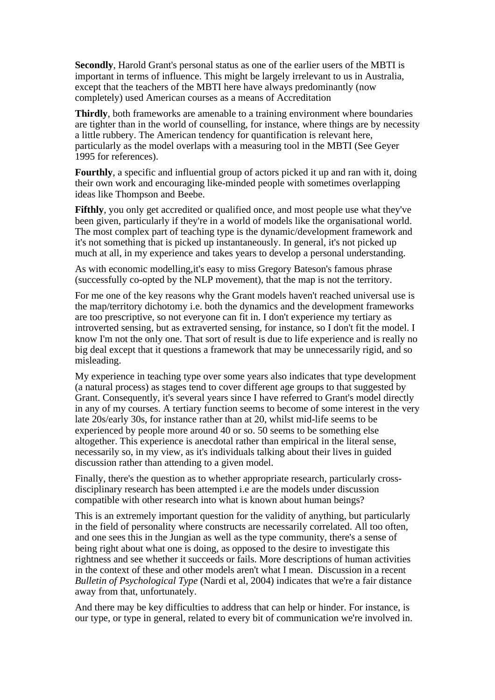**Secondly**, Harold Grant's personal status as one of the earlier users of the MBTI is important in terms of influence. This might be largely irrelevant to us in Australia, except that the teachers of the MBTI here have always predominantly (now completely) used American courses as a means of Accreditation

**Thirdly**, both frameworks are amenable to a training environment where boundaries are tighter than in the world of counselling, for instance, where things are by necessity a little rubbery. The American tendency for quantification is relevant here, particularly as the model overlaps with a measuring tool in the MBTI (See Geyer 1995 for references).

**Fourthly**, a specific and influential group of actors picked it up and ran with it, doing their own work and encouraging like-minded people with sometimes overlapping ideas like Thompson and Beebe.

**Fifthly**, you only get accredited or qualified once, and most people use what they've been given, particularly if they're in a world of models like the organisational world. The most complex part of teaching type is the dynamic/development framework and it's not something that is picked up instantaneously. In general, it's not picked up much at all, in my experience and takes years to develop a personal understanding.

As with economic modelling,it's easy to miss Gregory Bateson's famous phrase (successfully co-opted by the NLP movement), that the map is not the territory.

For me one of the key reasons why the Grant models haven't reached universal use is the map/territory dichotomy i.e. both the dynamics and the development frameworks are too prescriptive, so not everyone can fit in. I don't experience my tertiary as introverted sensing, but as extraverted sensing, for instance, so I don't fit the model. I know I'm not the only one. That sort of result is due to life experience and is really no big deal except that it questions a framework that may be unnecessarily rigid, and so misleading.

My experience in teaching type over some years also indicates that type development (a natural process) as stages tend to cover different age groups to that suggested by Grant. Consequently, it's several years since I have referred to Grant's model directly in any of my courses. A tertiary function seems to become of some interest in the very late 20s/early 30s, for instance rather than at 20, whilst mid-life seems to be experienced by people more around 40 or so. 50 seems to be something else altogether. This experience is anecdotal rather than empirical in the literal sense, necessarily so, in my view, as it's individuals talking about their lives in guided discussion rather than attending to a given model.

Finally, there's the question as to whether appropriate research, particularly crossdisciplinary research has been attempted i.e are the models under discussion compatible with other research into what is known about human beings?

This is an extremely important question for the validity of anything, but particularly in the field of personality where constructs are necessarily correlated. All too often, and one sees this in the Jungian as well as the type community, there's a sense of being right about what one is doing, as opposed to the desire to investigate this rightness and see whether it succeeds or fails. More descriptions of human activities in the context of these and other models aren't what I mean. Discussion in a recent *Bulletin of Psychological Type* (Nardi et al, 2004) indicates that we're a fair distance away from that, unfortunately.

And there may be key difficulties to address that can help or hinder. For instance, is our type, or type in general, related to every bit of communication we're involved in.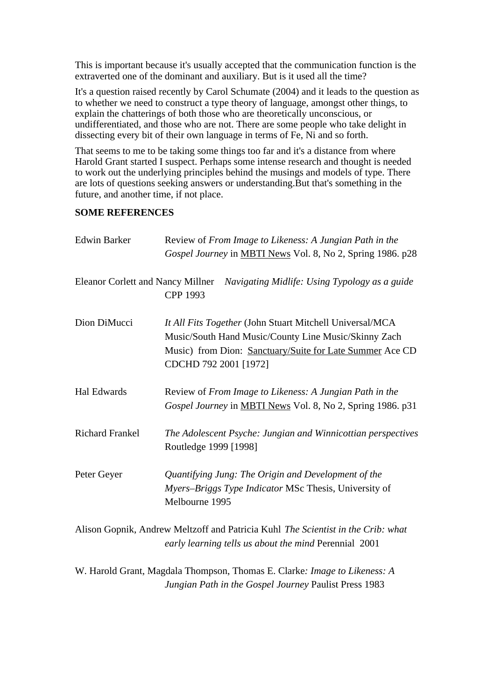This is important because it's usually accepted that the communication function is the extraverted one of the dominant and auxiliary. But is it used all the time?

It's a question raised recently by Carol Schumate (2004) and it leads to the question as to whether we need to construct a type theory of language, amongst other things, to explain the chatterings of both those who are theoretically unconscious, or undifferentiated, and those who are not. There are some people who take delight in dissecting every bit of their own language in terms of Fe, Ni and so forth.

That seems to me to be taking some things too far and it's a distance from where Harold Grant started I suspect. Perhaps some intense research and thought is needed to work out the underlying principles behind the musings and models of type. There are lots of questions seeking answers or understanding.But that's something in the future, and another time, if not place.

#### **SOME REFERENCES**

| <b>Edwin Barker</b>                      | Review of From Image to Likeness: A Jungian Path in the<br>Gospel Journey in MBTI News Vol. 8, No 2, Spring 1986. p28                                                                                 |
|------------------------------------------|-------------------------------------------------------------------------------------------------------------------------------------------------------------------------------------------------------|
| <b>Eleanor Corlett and Nancy Millner</b> | Navigating Midlife: Using Typology as a guide<br>CPP 1993                                                                                                                                             |
| Dion DiMucci                             | It All Fits Together (John Stuart Mitchell Universal/MCA<br>Music/South Hand Music/County Line Music/Skinny Zach<br>Music) from Dion: Sanctuary/Suite for Late Summer Ace CD<br>CDCHD 792 2001 [1972] |
| Hal Edwards                              | Review of From Image to Likeness: A Jungian Path in the<br>Gospel Journey in MBTI News Vol. 8, No 2, Spring 1986. p31                                                                                 |
| <b>Richard Frankel</b>                   | The Adolescent Psyche: Jungian and Winnicottian perspectives<br>Routledge 1999 [1998]                                                                                                                 |
| Peter Geyer                              | Quantifying Jung: The Origin and Development of the<br>Myers-Briggs Type Indicator MSc Thesis, University of<br>Melbourne 1995                                                                        |
|                                          | Alison Gopnik, Andrew Meltzoff and Patricia Kuhl The Scientist in the Crib: what<br>early learning tells us about the mind Perennial 2001                                                             |

W. Harold Grant, Magdala Thompson, Thomas E. Clarke*: Image to Likeness: A Jungian Path in the Gospel Journey* Paulist Press 1983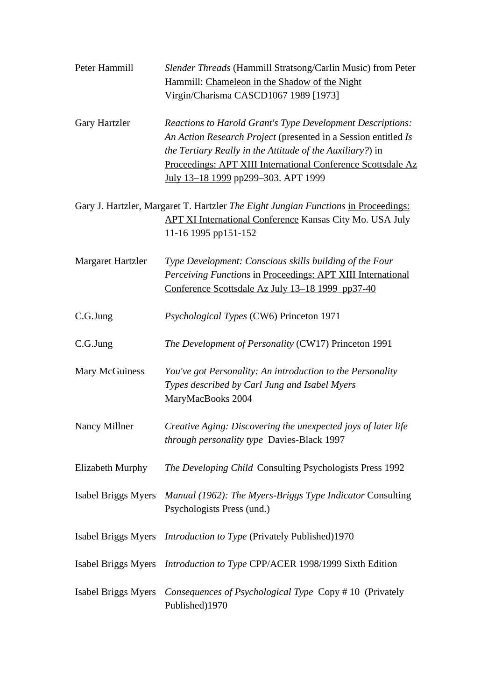| Peter Hammill            | <i>Slender Threads</i> (Hammill Stratsong/Carlin Music) from Peter<br>Hammill: Chameleon in the Shadow of the Night<br>Virgin/Charisma CASCD1067 1989 [1973]                                                                                                                                            |
|--------------------------|---------------------------------------------------------------------------------------------------------------------------------------------------------------------------------------------------------------------------------------------------------------------------------------------------------|
| Gary Hartzler            | <b>Reactions to Harold Grant's Type Development Descriptions:</b><br>An Action Research Project (presented in a Session entitled Is<br>the Tertiary Really in the Attitude of the Auxiliary?) in<br>Proceedings: APT XIII International Conference Scottsdale Az<br>July 13-18 1999 pp299-303. APT 1999 |
|                          | Gary J. Hartzler, Margaret T. Hartzler The Eight Jungian Functions in Proceedings:<br><b>APT XI International Conference Kansas City Mo. USA July</b><br>11-16 1995 pp151-152                                                                                                                           |
| <b>Margaret Hartzler</b> | Type Development: Conscious skills building of the Four<br>Perceiving Functions in Proceedings: APT XIII International<br>Conference Scottsdale Az July 13–18 1999 pp37-40                                                                                                                              |
| C.G.Jung                 | Psychological Types (CW6) Princeton 1971                                                                                                                                                                                                                                                                |
| C.G.Jung                 | The Development of Personality (CW17) Princeton 1991                                                                                                                                                                                                                                                    |
| Mary McGuiness           | You've got Personality: An introduction to the Personality<br>Types described by Carl Jung and Isabel Myers<br>MaryMacBooks 2004                                                                                                                                                                        |
| Nancy Millner            | Creative Aging: Discovering the unexpected joys of later life<br>through personality type Davies-Black 1997                                                                                                                                                                                             |
| Elizabeth Murphy         | The Developing Child Consulting Psychologists Press 1992                                                                                                                                                                                                                                                |
| Isabel Briggs Myers      | Manual (1962): The Myers-Briggs Type Indicator Consulting<br>Psychologists Press (und.)                                                                                                                                                                                                                 |
|                          | Isabel Briggs Myers <i>Introduction to Type</i> (Privately Published)1970                                                                                                                                                                                                                               |
|                          | Isabel Briggs Myers <i>Introduction to Type</i> CPP/ACER 1998/1999 Sixth Edition                                                                                                                                                                                                                        |
| Isabel Briggs Myers      | Consequences of Psychological Type Copy #10 (Privately<br>Published)1970                                                                                                                                                                                                                                |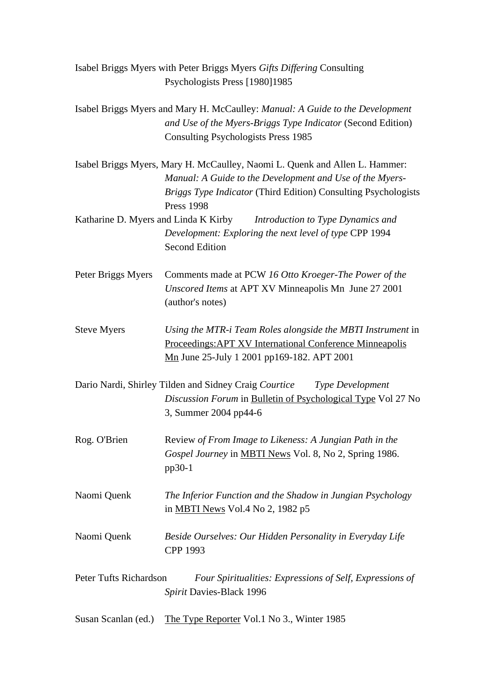|                                                                                                                | Isabel Briggs Myers with Peter Briggs Myers Gifts Differing Consulting                                                                                                                                                         |  |
|----------------------------------------------------------------------------------------------------------------|--------------------------------------------------------------------------------------------------------------------------------------------------------------------------------------------------------------------------------|--|
|                                                                                                                | Psychologists Press [1980]1985                                                                                                                                                                                                 |  |
|                                                                                                                | Isabel Briggs Myers and Mary H. McCaulley: Manual: A Guide to the Development<br>and Use of the Myers-Briggs Type Indicator (Second Edition)<br><b>Consulting Psychologists Press 1985</b>                                     |  |
|                                                                                                                | Isabel Briggs Myers, Mary H. McCaulley, Naomi L. Quenk and Allen L. Hammer:<br>Manual: A Guide to the Development and Use of the Myers-<br>Briggs Type Indicator (Third Edition) Consulting Psychologists<br><b>Press 1998</b> |  |
|                                                                                                                | Katharine D. Myers and Linda K Kirby <i>Introduction to Type Dynamics and</i>                                                                                                                                                  |  |
|                                                                                                                | Development: Exploring the next level of type CPP 1994<br><b>Second Edition</b>                                                                                                                                                |  |
| Peter Briggs Myers                                                                                             | Comments made at PCW 16 Otto Kroeger-The Power of the<br>Unscored Items at APT XV Minneapolis Mn June 27 2001<br>(author's notes)                                                                                              |  |
| <b>Steve Myers</b>                                                                                             | Using the MTR-i Team Roles alongside the MBTI Instrument in<br><b>Proceedings: APT XV International Conference Minneapolis</b><br>Mn June 25-July 1 2001 pp169-182. APT 2001                                                   |  |
|                                                                                                                | Dario Nardi, Shirley Tilden and Sidney Craig Courtice<br>Type Development<br>Discussion Forum in Bulletin of Psychological Type Vol 27 No<br>3, Summer 2004 pp44-6                                                             |  |
| Rog. O'Brien                                                                                                   | Review of From Image to Likeness: A Jungian Path in the<br>Gospel Journey in MBTI News Vol. 8, No 2, Spring 1986.<br>$pp30-1$                                                                                                  |  |
| Naomi Quenk                                                                                                    | The Inferior Function and the Shadow in Jungian Psychology<br>in <b>MBTI</b> News Vol.4 No 2, 1982 p5                                                                                                                          |  |
| Naomi Quenk                                                                                                    | Beside Ourselves: Our Hidden Personality in Everyday Life<br>CPP 1993                                                                                                                                                          |  |
| Peter Tufts Richardson<br>Four Spiritualities: Expressions of Self, Expressions of<br>Spirit Davies-Black 1996 |                                                                                                                                                                                                                                |  |
| Susan Scanlan (ed.)                                                                                            | The Type Reporter Vol.1 No 3., Winter 1985                                                                                                                                                                                     |  |